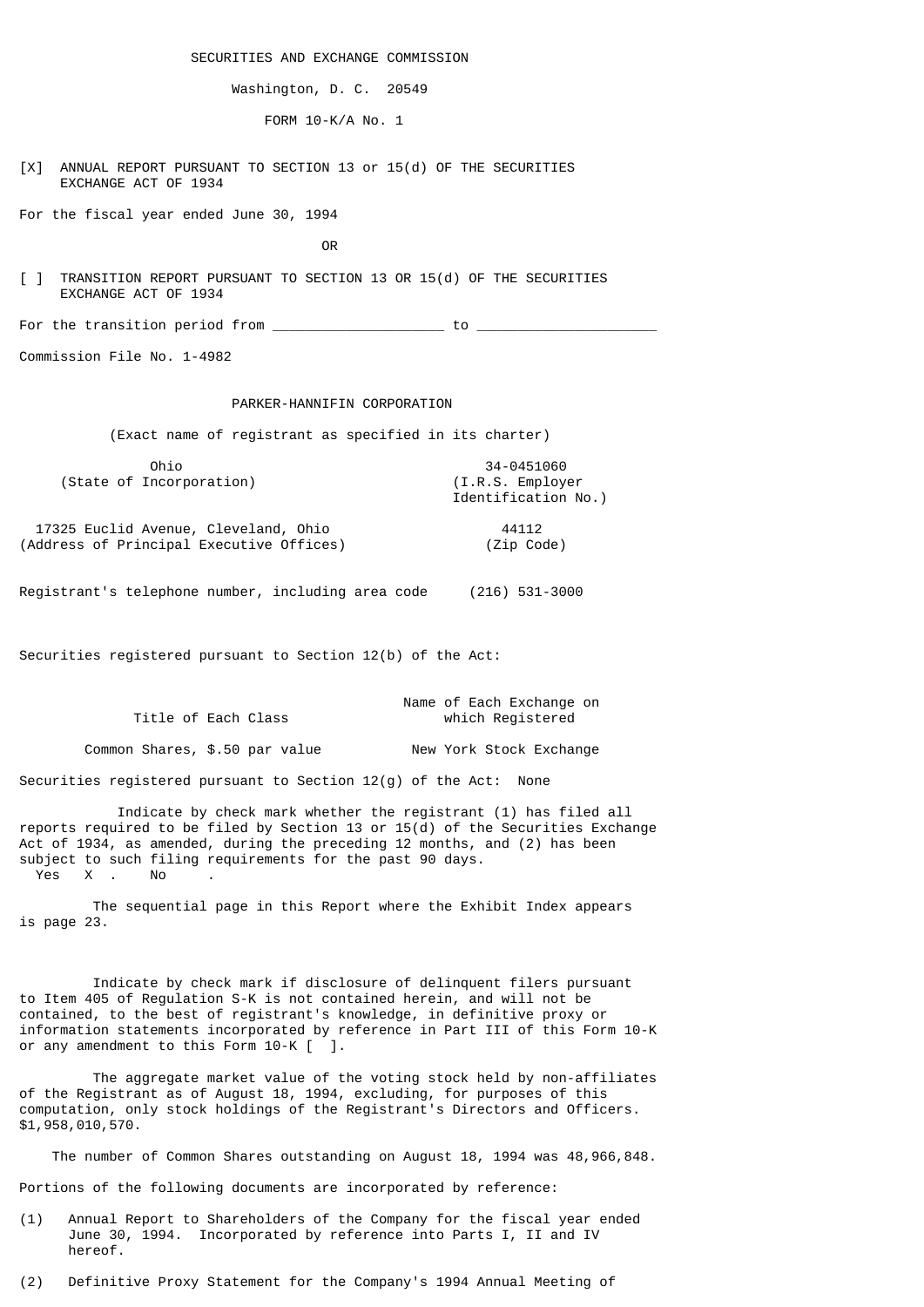SECURITIES AND EXCHANGE COMMISSION

Washington, D. C. 20549

FORM 10-K/A No. 1

[X] ANNUAL REPORT PURSUANT TO SECTION 13 or 15(d) OF THE SECURITIES EXCHANGE ACT OF 1934

For the fiscal year ended June 30, 1994

**OR** Service of the state of the state of the state of the state of the state of the state of the state of the state of the state of the state of the state of the state of the state of the state of the state of the state o

[ ] TRANSITION REPORT PURSUANT TO SECTION 13 OR 15(d) OF THE SECURITIES EXCHANGE ACT OF 1934

For the transition period from  $\_$ 

Commission File No. 1-4982

## PARKER-HANNIFIN CORPORATION

(Exact name of registrant as specified in its charter)

| Ohio                     | 34-0451060                               |
|--------------------------|------------------------------------------|
| (State of Incorporation) | (I.R.S. Emplover)<br>Identification No.) |

 17325 Euclid Avenue, Cleveland, Ohio 44112 (Address of Principal Executive Offices) (Zip Code)

Registrant's telephone number, including area code (216) 531-3000

Securities registered pursuant to Section 12(b) of the Act:

|                     | Name of Each Exchange on |
|---------------------|--------------------------|
| Title of Each Class | which Registered         |
|                     |                          |

Common Shares, \$.50 par value New York Stock Exchange

Securities registered pursuant to Section 12(g) of the Act: None

 Indicate by check mark whether the registrant (1) has filed all reports required to be filed by Section 13 or 15(d) of the Securities Exchange Act of 1934, as amended, during the preceding 12 months, and (2) has been subject to such filing requirements for the past 90 days. Yes X . No

 The sequential page in this Report where the Exhibit Index appears is page 23.

 Indicate by check mark if disclosure of delinquent filers pursuant to Item 405 of Regulation S-K is not contained herein, and will not be contained, to the best of registrant's knowledge, in definitive proxy or information statements incorporated by reference in Part III of this Form 10-K or any amendment to this Form 10-K [ ].

 The aggregate market value of the voting stock held by non-affiliates of the Registrant as of August 18, 1994, excluding, for purposes of this computation, only stock holdings of the Registrant's Directors and Officers. \$1,958,010,570.

The number of Common Shares outstanding on August 18, 1994 was 48,966,848.

Portions of the following documents are incorporated by reference:

(1) Annual Report to Shareholders of the Company for the fiscal year ended June 30, 1994. Incorporated by reference into Parts I, II and IV hereof.

(2) Definitive Proxy Statement for the Company's 1994 Annual Meeting of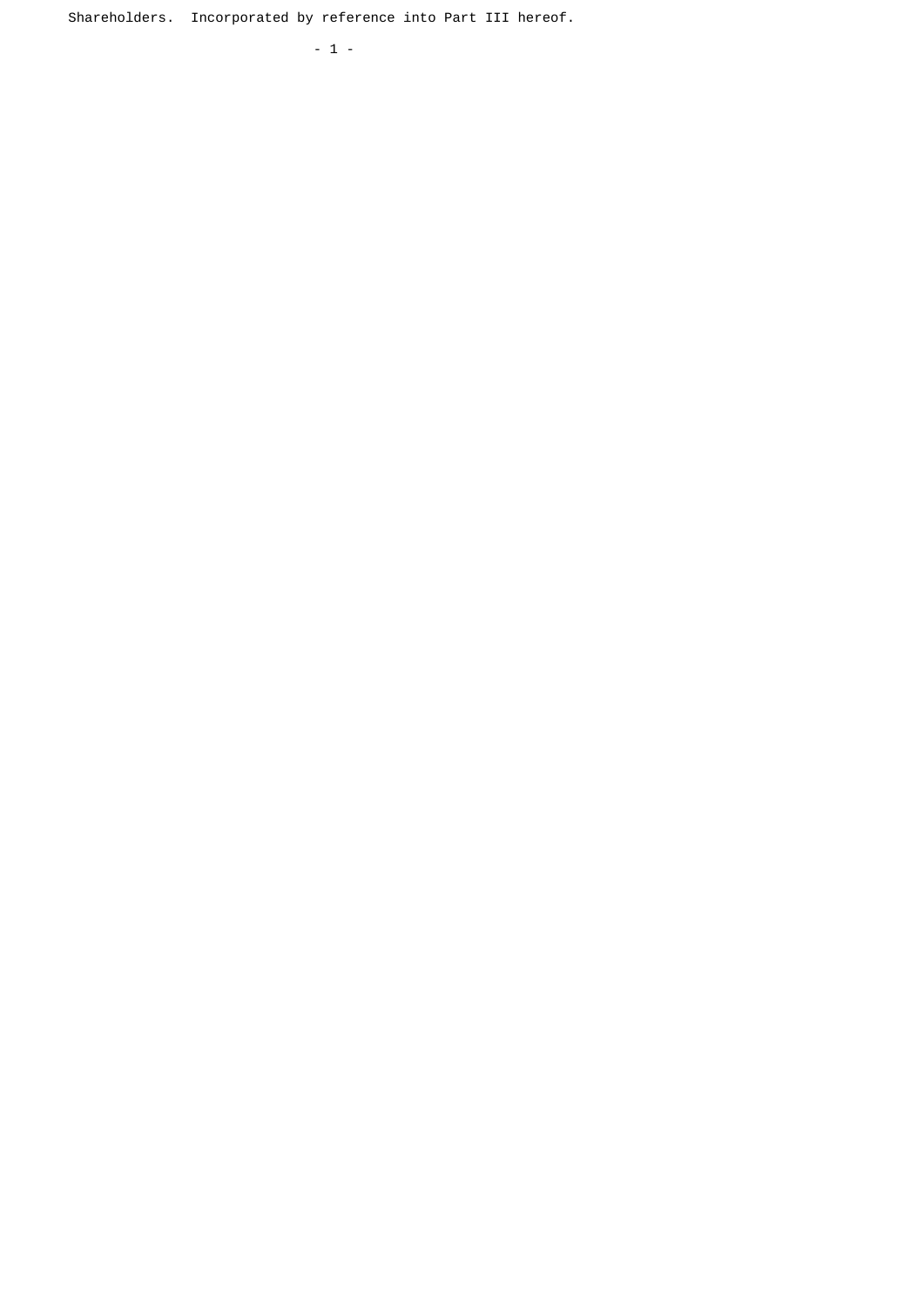Shareholders. Incorporated by reference into Part III hereof.

- 1 -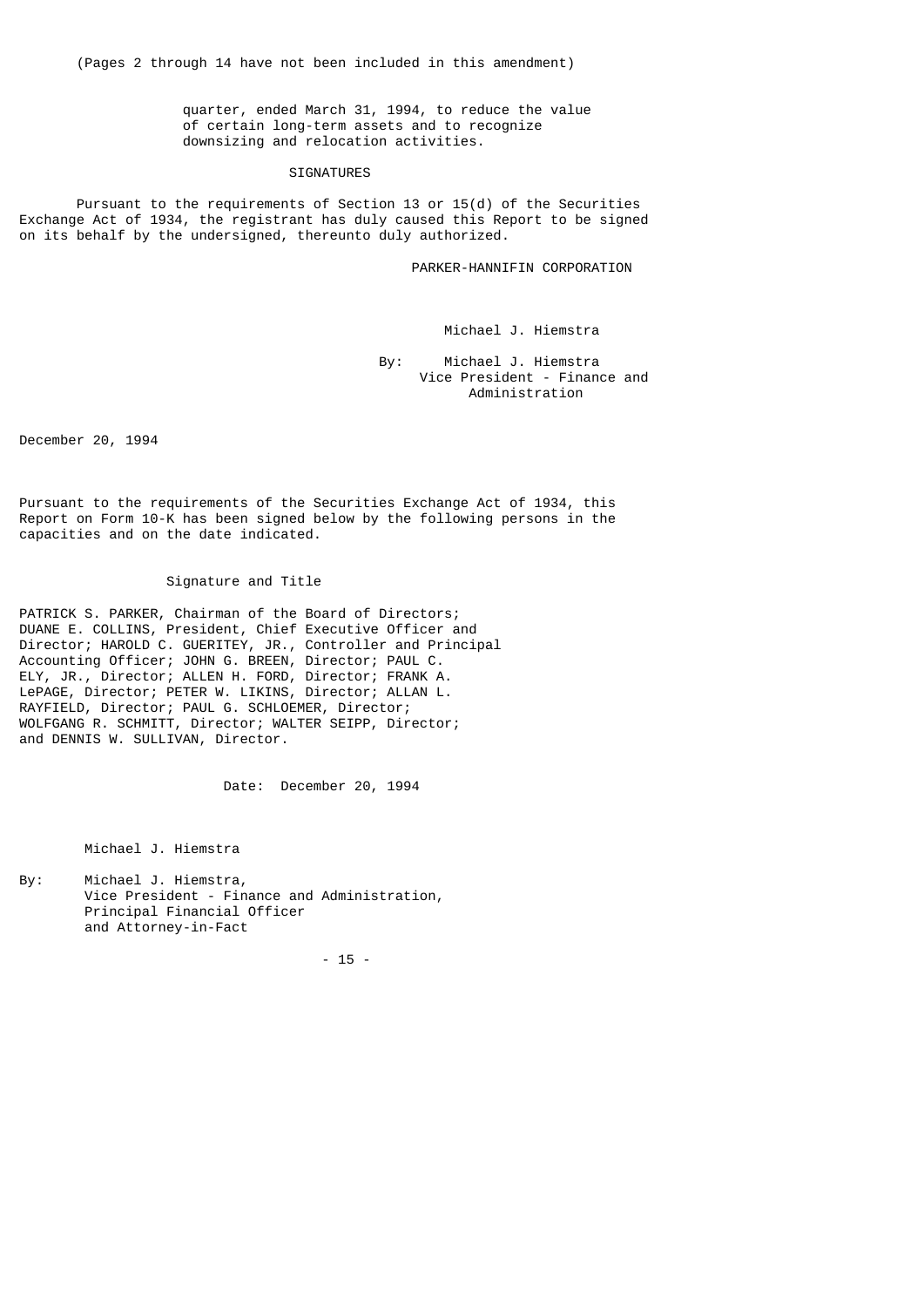quarter, ended March 31, 1994, to reduce the value of certain long-term assets and to recognize downsizing and relocation activities.

## SIGNATURES

Pursuant to the requirements of Section 13 or  $15(d)$  of the Securities Exchange Act of 1934, the registrant has duly caused this Report to be signed on its behalf by the undersigned, thereunto duly authorized.

PARKER-HANNIFIN CORPORATION

Michael J. Hiemstra

 By: Michael J. Hiemstra Vice President - Finance and Administration

December 20, 1994

Pursuant to the requirements of the Securities Exchange Act of 1934, this Report on Form 10-K has been signed below by the following persons in the capacities and on the date indicated.

## Signature and Title

PATRICK S. PARKER, Chairman of the Board of Directors; DUANE E. COLLINS, President, Chief Executive Officer and Director; HAROLD C. GUERITEY, JR., Controller and Principal Accounting Officer; JOHN G. BREEN, Director; PAUL C. ELY, JR., Director; ALLEN H. FORD, Director; FRANK A. LePAGE, Director; PETER W. LIKINS, Director; ALLAN L. RAYFIELD, Director; PAUL G. SCHLOEMER, Director; WOLFGANG R. SCHMITT, Director; WALTER SEIPP, Director; and DENNIS W. SULLIVAN, Director.

Date: December 20, 1994

Michael J. Hiemstra

By: Michael J. Hiemstra, Vice President - Finance and Administration, Principal Financial Officer and Attorney-in-Fact

- 15 -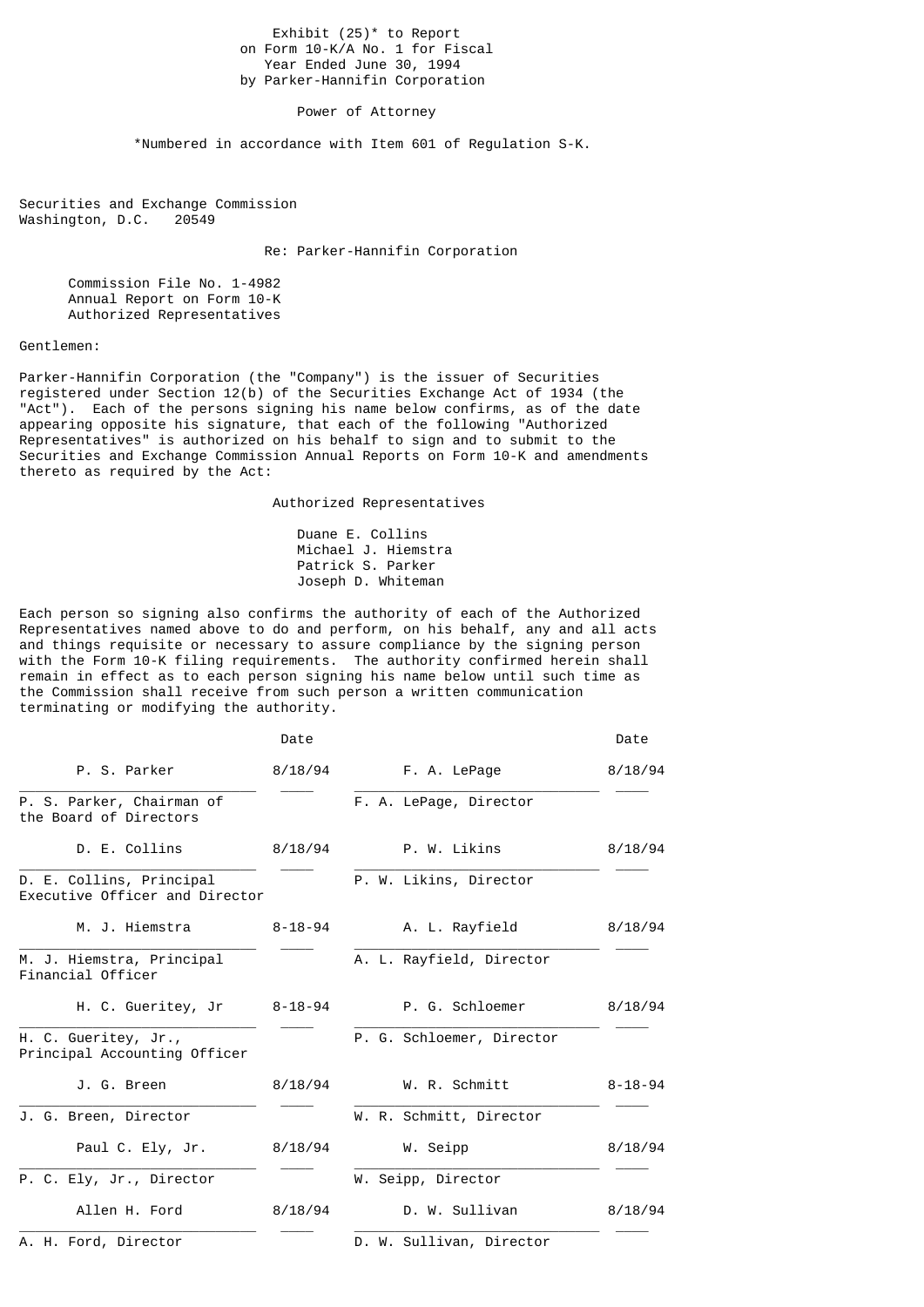Exhibit  $(25)^*$  to Report on Form 10-K/A No. 1 for Fiscal Year Ended June 30, 1994 by Parker-Hannifin Corporation

Power of Attorney

\*Numbered in accordance with Item 601 of Regulation S-K.

Securities and Exchange Commission<br>Washington, D.C. 20549 Washington, D.C.

Re: Parker-Hannifin Corporation

 Commission File No. 1-4982 Annual Report on Form 10-K Authorized Representatives

## Gentlemen:

Parker-Hannifin Corporation (the "Company") is the issuer of Securities registered under Section 12(b) of the Securities Exchange Act of 1934 (the "Act"). Each of the persons signing his name below confirms, as of the date appearing opposite his signature, that each of the following "Authorized Representatives" is authorized on his behalf to sign and to submit to the Securities and Exchange Commission Annual Reports on Form 10-K and amendments thereto as required by the Act:

Authorized Representatives

 Duane E. Collins Michael J. Hiemstra Patrick S. Parker Joseph D. Whiteman

Each person so signing also confirms the authority of each of the Authorized Representatives named above to do and perform, on his behalf, any and all acts and things requisite or necessary to assure compliance by the signing person with the Form 10-K filing requirements. The authority confirmed herein shall remain in effect as to each person signing his name below until such time as the Commission shall receive from such person a written communication terminating or modifying the authority.

|                                                            | Date    |                           | Date          |
|------------------------------------------------------------|---------|---------------------------|---------------|
| P. S. Parker                                               | 8/18/94 | F. A. LePage              | 8/18/94       |
| P. S. Parker, Chairman of<br>the Board of Directors        |         | F. A. LePage, Director    |               |
| D. E. Collins                                              | 8/18/94 | P. W. Likins              | 8/18/94       |
| D. E. Collins, Principal<br>Executive Officer and Director |         | P. W. Likins, Director    |               |
| M. J. Hiemstra                                             | 8-18-94 | A. L. Rayfield            | 8/18/94       |
| M. J. Hiemstra, Principal<br>Financial Officer             |         | A. L. Rayfield, Director  |               |
| H. C. Gueritey, Jr                                         | 8-18-94 | P. G. Schloemer           | 8/18/94       |
| H. C. Gueritey, Jr.,<br>Principal Accounting Officer       |         | P. G. Schloemer, Director |               |
| J. G. Breen                                                | 8/18/94 | W. R. Schmitt             | $8 - 18 - 94$ |
| J. G. Breen, Director                                      |         | W. R. Schmitt, Director   |               |
| Paul C. Ely, Jr.                                           | 8/18/94 | W. Seipp                  | 8/18/94       |
| P. C. Ely, Jr., Director                                   |         | W. Seipp, Director        |               |
| Allen H. Ford                                              | 8/18/94 | D. W. Sullivan            | 8/18/94       |
| A. H. Ford, Director                                       |         | D. W. Sullivan, Director  |               |